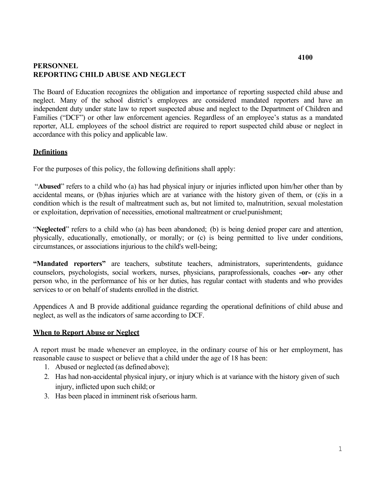# **PERSONNEL REPORTING CHILD ABUSE AND NEGLECT**

 neglect. Many of the school district's employees are considered mandated reporters and have an independent duty under state law to report suspected abuse and neglect to the Department of Children and reporter, ALL employees of the school district are required to report suspected child abuse or neglect in The Board of Education recognizes the obligation and importance of reporting suspected child abuse and Families ("DCF") or other law enforcement agencies. Regardless of an employee's status as a mandated accordance with this policy and applicable law.

## **Definitions**

For the purposes of this policy, the following definitions shall apply:

 or exploitation, deprivation of necessities, emotional maltreatment or cruelpunishment; "**Abused**" refers to a child who (a) has had physical injury or injuries inflicted upon him/her other than by accidental means, or (b)has injuries which are at variance with the history given of them, or (c)is in a condition which is the result of maltreatment such as, but not limited to, malnutrition, sexual molestation

"**Neglected**" refers to a child who (a) has been abandoned; (b) is being denied proper care and attention, physically, educationally, emotionally, or morally; or (c) is being permitted to live under conditions, circumstances, or associations injurious to the child's well-being;

"Mandated reporters" are teachers, substitute teachers, administrators, superintendents, guidance counselors, psychologists, social workers, nurses, physicians, paraprofessionals, coaches **-or-** any other person who, in the performance of his or her duties, has regular contact with students and who provides services to or on behalf of students enrolled in the district.

 neglect, as well as the indicators of same according to DCF. Appendices A and B provide additional guidance regarding the operational definitions of child abuse and

## **When to Report Abuse or Neglect**

 A report must be made whenever an employee, in the ordinary course of his or her employment, has reasonable cause to suspect or believe that a child under the age of 18 has been:

- 1. Abused or neglected (as defined above);
- injury, inflicted upon such child; or 2. Has had non-accidental physical injury, or injury which is at variance with the history given of such
- 3. Has been placed in imminent risk ofserious harm.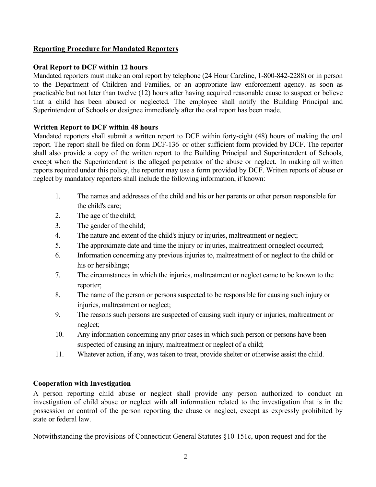## **Reporting Procedure for Mandated Reporters**

# **Oral Report to DCF within 12 hours**

 Superintendent of Schools or designee immediately after the oral report has been made. Mandated reporters must make an oral report by telephone (24 Hour Careline, 1-800-842-2288) or in person to the Department of Children and Families, or an appropriate law enforcement agency. as soon as practicable but not later than twelve (12) hours after having acquired reasonable cause to suspect or believe that a child has been abused or neglected. The employee shall notify the Building Principal and

# **Written Report to DCF within 48 hours**

Mandated reporters shall submit a written report to DCF within forty-eight (48) hours of making the oral report. The report shall be filed on form DCF-136 or other sufficient form provided by DCF. The reporter shall also provide a copy of the written report to the Building Principal and Superintendent of Schools, except when the Superintendent is the alleged perpetrator of the abuse or neglect. In making all written reports required under this policy, the reporter may use a form provided by DCF. Written reports of abuse or neglect by mandatory reporters shall include the following information, if known:

- the child's care; 1. The names and addresses of the child and his or her parents or other person responsible for
- 2. The age of the child;
- 3. The gender of the child;
- 4. The nature and extent of the child's injury or injuries, maltreatment or neglect;
- 5. The approximate date and time the injury or injuries, maltreatment orneglect occurred;
- 6. Information concerning any previous injuries to, maltreatment of or neglect to the child or his or her siblings;
- 7. The circumstances in which the injuries, maltreatment or neglect came to be known to the reporter;
- injuries, maltreatment or neglect; 8. The name of the person or persons suspected to be responsible for causing such injury or
- 9. The reasons such persons are suspected of causing such injury or injuries, maltreatment or neglect;
- suspected of causing an injury, maltreatment or neglect of a child; 10. Any information concerning any prior cases in which such person or persons have been
- 11. Whatever action, if any, was taken to treat, provide shelter or otherwise assist the child.

# **Cooperation with Investigation**

A person reporting child abuse or neglect shall provide any person authorized to conduct an investigation of child abuse or neglect with all information related to the investigation that is in the possession or control of the person reporting the abuse or neglect, except as expressly prohibited by state or federal law.

Notwithstanding the provisions of Connecticut General Statutes §10-151c, upon request and for the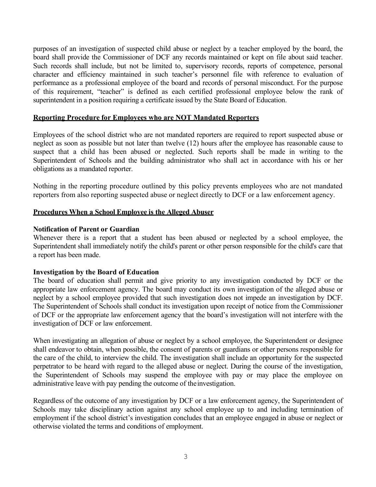board shall provide the Commissioner of DCF any records maintained or kept on file about said teacher. superintendent in a position requiring a certificate issued by the State Board of Education. purposes of an investigation of suspected child abuse or neglect by a teacher employed by the board, the Such records shall include, but not be limited to, supervisory records, reports of competence, personal character and efficiency maintained in such teacher's personnel file with reference to evaluation of performance as a professional employee of the board and records of personal misconduct. For the purpose of this requirement, "teacher" is defined as each certified professional employee below the rank of

## **Reporting Procedure for Employees who are NOT Mandated Reporters**

 neglect as soon as possible but not later than twelve (12) hours after the employee has reasonable cause to Employees of the school district who are not mandated reporters are required to report suspected abuse or suspect that a child has been abused or neglected. Such reports shall be made in writing to the Superintendent of Schools and the building administrator who shall act in accordance with his or her obligations as a mandated reporter.

Nothing in the reporting procedure outlined by this policy prevents employees who are not mandated reporters from also reporting suspected abuse or neglect directly to DCF or a law enforcement agency.

### **Procedures When a School Employee is the Alleged Abuser**

### **Notification of Parent or Guardian**

 Superintendent shall immediately notify the child's parent or other person responsible for the child's care that Whenever there is a report that a student has been abused or neglected by a school employee, the a report has been made.

## **Investigation by the Board of Education**

 The board of education shall permit and give priority to any investigation conducted by DCF or the The Superintendent of Schools shall conduct its investigation upon receipt of notice from the Commissioner appropriate law enforcement agency. The board may conduct its own investigation of the alleged abuse or neglect by a school employee provided that such investigation does not impede an investigation by DCF. of DCF or the appropriate law enforcement agency that the board's investigation will not interfere with the investigation of DCF or law enforcement.

 When investigating an allegation of abuse or neglect by a school employee, the Superintendent or designee shall endeavor to obtain, when possible, the consent of parents or guardians or other persons responsible for the care of the child, to interview the child. The investigation shall include an opportunity for the suspected perpetrator to be heard with regard to the alleged abuse or neglect. During the course of the investigation, the Superintendent of Schools may suspend the employee with pay or may place the employee on administrative leave with pay pending the outcome of theinvestigation.

 Schools may take disciplinary action against any school employee up to and including termination of Regardless of the outcome of any investigation by DCF or a law enforcement agency, the Superintendent of employment if the school district's investigation concludes that an employee engaged in abuse or neglect or otherwise violated the terms and conditions of employment.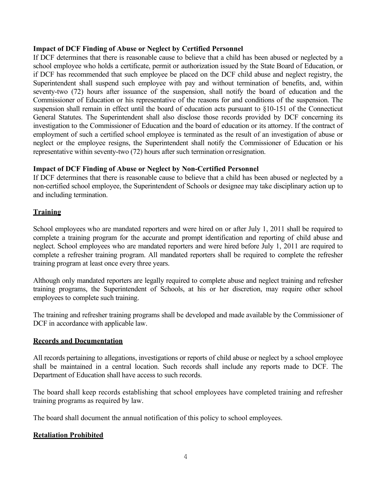## **Impact of DCF Finding of Abuse or Neglect by Certified Personnel**

 If DCF determines that there is reasonable cause to believe that a child has been abused or neglected by a Superintendent shall suspend such employee with pay and without termination of benefits, and, within suspension shall remain in effect until the board of education acts pursuant to §10-151 of the Connecticut representative within seventy-two (72) hours after such termination orresignation. school employee who holds a certificate, permit or authorization issued by the State Board of Education, or if DCF has recommended that such employee be placed on the DCF child abuse and neglect registry, the seventy-two (72) hours after issuance of the suspension, shall notify the board of education and the Commissioner of Education or his representative of the reasons for and conditions of the suspension. The General Statutes. The Superintendent shall also disclose those records provided by DCF concerning its investigation to the Commissioner of Education and the board of education or its attorney. If the contract of employment of such a certified school employee is terminated as the result of an investigation of abuse or neglect or the employee resigns, the Superintendent shall notify the Commissioner of Education or his

## **Impact of DCF Finding of Abuse or Neglect by Non-Certified Personnel**

 If DCF determines that there is reasonable cause to believe that a child has been abused or neglected by a non-certified school employee, the Superintendent of Schools or designee may take disciplinary action up to and including termination.

## **Training**

School employees who are mandated reporters and were hired on or after July 1, 2011 shall be required to complete a training program for the accurate and prompt identification and reporting of child abuse and neglect. School employees who are mandated reporters and were hired before July 1, 2011 are required to complete a refresher training program. All mandated reporters shall be required to complete the refresher training program at least once every three years.

 training programs, the Superintendent of Schools, at his or her discretion, may require other school Although only mandated reporters are legally required to complete abuse and neglect training and refresher employees to complete such training.

The training and refresher training programs shall be developed and made available by the Commissioner of DCF in accordance with applicable law.

## **Records and Documentation**

 All records pertaining to allegations, investigations or reports of child abuse or neglect by a school employee shall be maintained in a central location. Such records shall include any reports made to DCF. The Department of Education shall have access to such records.

The board shall keep records establishing that school employees have completed training and refresher training programs as required by law.

The board shall document the annual notification of this policy to school employees.

## **Retaliation Prohibited**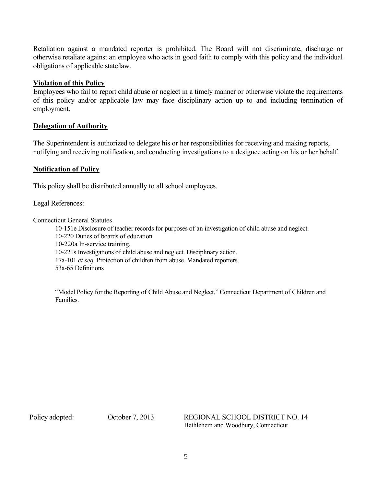obligations of applicable state law. Retaliation against a mandated reporter is prohibited. The Board will not discriminate, discharge or otherwise retaliate against an employee who acts in good faith to comply with this policy and the individual

## **Violation of this Policy**

 Employees who fail to report child abuse or neglect in a timely manner or otherwise violate the requirements of this policy and/or applicable law may face disciplinary action up to and including termination of employment.

## **Delegation of Authority**

 The Superintendent is authorized to delegate his or her responsibilities for receiving and making reports, notifying and receiving notification, and conducting investigations to a designee acting on his or her behalf.

## **Notification of Policy**

This policy shall be distributed annually to all school employees.

Legal References:

Connecticut General Statutes

 10-220 Duties of boards of education 10-151e Disclosure of teacher records for purposes of an investigation of child abuse and neglect. 10-220a In-service training. 10-221s Investigations of child abuse and neglect. Disciplinary action. 17a-101 *et seq.* Protection of children from abuse. Mandated reporters. 53a-65 Definitions

 "Model Policy for the Reporting of Child Abuse and Neglect," Connecticut Department of Children and Families.

Policy adopted:

 Bethlehem and Woodbury, Connecticut October 7, 2013 REGIONAL SCHOOL DISTRICT NO. 14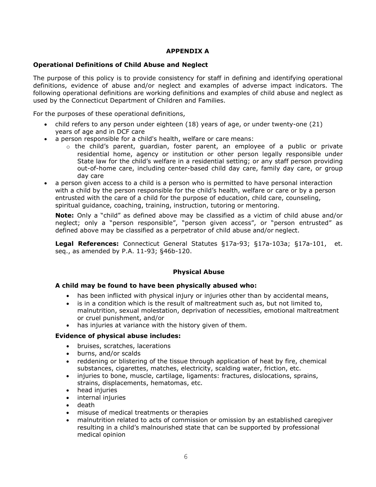### **APPENDIX A**

#### **Operational Definitions of Child Abuse and Neglect**

 definitions, evidence of abuse and/or neglect and examples of adverse impact indicators. The following operational definitions are working definitions and examples of child abuse and neglect as used by the Connecticut Department of Children and Families. The purpose of this policy is to provide consistency for staff in defining and identifying operational

For the purposes of these operational definitions,

- • child refers to any person under eighteen (18) years of age, or under twenty-one (21) years of age and in DCF care
- • a person responsible for a child's health, welfare or care means:
	- residential home, agency or institution or other person legally responsible under State law for the child's welfare in a residential setting; or any staff person providing out-of-home care, including center-based child day care, family day care, or group day care o the child's parent, guardian, foster parent, an employee of a public or private
- • a person given access to a child is a person who is permitted to have personal interaction with a child by the person responsible for the child's health, welfare or care or by a person entrusted with the care of a child for the purpose of education, child care, counseling, spiritual guidance, coaching, training, instruction, tutoring or mentoring.

 defined above may be classified as a perpetrator of child abuse and/or neglect. **Note:** Only a "child" as defined above may be classified as a victim of child abuse and/or neglect; only a "person responsible", "person given access", or "person entrusted" as

 seq., as amended by P.A. 11-93; §46b-120. **Legal References:** Connecticut General Statutes §17a-93; §17a-103a; §17a-101, et.

#### **Physical Abuse**

#### **A child may be found to have been physically abused who:**

- has been inflicted with physical injury or injuries other than by accidental means,
- • is in a condition which is the result of maltreatment such as, but not limited to, malnutrition, sexual molestation, deprivation of necessities, emotional maltreatment or cruel punishment, and/or
- has injuries at variance with the history given of them.

#### **Evidence of physical abuse includes:**

- bruises, scratches, lacerations
- burns, and/or scalds
- • reddening or blistering of the tissue through application of heat by fire, chemical substances, cigarettes, matches, electricity, scalding water, friction, etc.
- strains, displacements, hematomas, etc. • injuries to bone, muscle, cartilage, ligaments: fractures, dislocations, sprains,
- head injuries
- internal injuries
- death
- misuse of medical treatments or therapies
- • malnutrition related to acts of commission or omission by an established caregiver resulting in a child's malnourished state that can be supported by professional medical opinion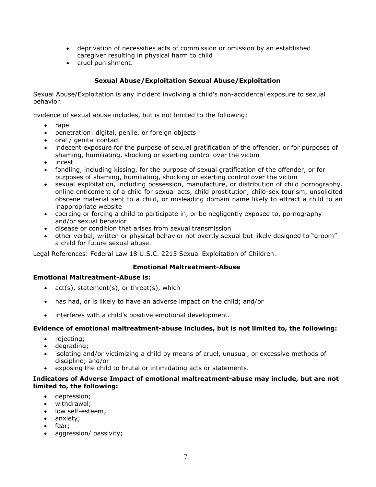- • deprivation of necessities acts of commission or omission by an established caregiver resulting in physical harm to child
- cruel punishment.

## **Sexual Abuse/Exploitation Sexual Abuse/Exploitation**

 Sexual Abuse/Exploitation is any incident involving a child's non-accidental exposure to sexual behavior.

Evidence of sexual abuse includes, but is not limited to the following:

- rape
- penetration: digital, penile, or foreign objects
- oral / genital contact
- • indecent exposure for the purpose of sexual gratification of the offender, or for purposes of shaming, humiliating, shocking or exerting control over the victim
- incest
- • fondling, including kissing, for the purpose of sexual gratification of the offender, or for purposes of shaming, humiliating, shocking or exerting control over the victim
- • sexual exploitation, including possession, manufacture, or distribution of child pornography. online enticement of a child for sexual acts, child prostitution, child-sex tourism, unsolicited inappropriate website obscene material sent to a child, or misleading domain name likely to attract a child to an
- • coercing or forcing a child to participate in, or be negligently exposed to, pornography and/or sexual behavior
- disease or condition that arises from sexual transmission
- • other verbal, written or physical behavior not overtly sexual but likely designed to "groom" a child for future sexual abuse.

Legal References: Federal Law 18 U.S.C. 2215 Sexual Exploitation of Children.

#### **Emotional Maltreatment-Abuse**

#### **Emotional Maltreatment-Abuse is:**

- act(s), statement(s), or threat(s), which
- has had, or is likely to have an adverse impact on the child; and/or
- interferes with a child's positive emotional development.

#### **Evidence of emotional maltreatment-abuse includes, but is not limited to, the following:**

- rejecting;
- degrading;
- • isolating and/or victimizing a child by means of cruel, unusual, or excessive methods of discipline; and/or
- exposing the child to brutal or intimidating acts or statements.

#### **Indicators of Adverse Impact of emotional maltreatment-abuse may include, but are not limited to, the following:**

- depression;
- withdrawal;
- low self-esteem:
- anxiety;
- fear;
- aggression/ passivity;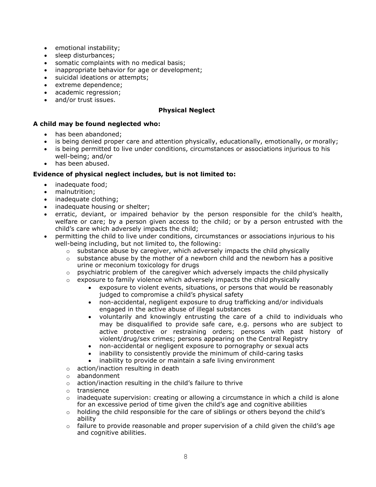- emotional instability;
- sleep disturbances;
- somatic complaints with no medical basis;
- inappropriate behavior for age or development;
- suicidal ideations or attempts;
- extreme dependence;
- academic regression;
- and/or trust issues.

### **Physical Neglect**

### **A child may be found neglected who:**

- has been abandoned;
- is being denied proper care and attention physically, educationally, emotionally, or morally;
- • is being permitted to live under conditions, circumstances or associations injurious to his well-being; and/or
- has been abused.

### **Evidence of physical neglect includes, but is not limited to:**

- inadequate food;
- malnutrition;
- inadequate clothing;
- inadequate housing or shelter;
- welfare or care; by a person given access to the child; or by a person entrusted with the child's care which adversely impacts the child; erratic, deviant, or impaired behavior by the person responsible for the child's health,
- • permitting the child to live under conditions, circumstances or associations injurious to his well-being including, but not limited to, the following:
	- $\circ$  substance abuse by caregiver, which adversely impacts the child physically
	- $\circ$  substance abuse by the mother of a newborn child and the newborn has a positive urine or meconium toxicology for drugs
	- $\circ$  psychiatric problem of the caregiver which adversely impacts the child physically
	- $\circ$  exposure to family violence which adversely impacts the child physically
		- • exposure to violent events, situations, or persons that would be reasonably judged to compromise a child's physical safety
		- • non-accidental, negligent exposure to drug trafficking and/or individuals engaged in the active abuse of illegal substances
		- • voluntarily and knowingly entrusting the care of a child to individuals who may be disqualified to provide safe care, e.g. persons who are subject to active protective or restraining orders; persons with past history of violent/drug/sex crimes; persons appearing on the Central Registry
		- non-accidental or negligent exposure to pornography or sexual acts
		- inability to consistently provide the minimum of child-caring tasks
		- inability to provide or maintain a safe living environment
	- o action/inaction resulting in death
	- o abandonment
	- o action/inaction resulting in the child's failure to thrive
	- o transience
	- o inadequate supervision: creating or allowing a circumstance in which a child is alone for an excessive period of time given the child's age and cognitive abilities
	- o holding the child responsible for the care of siblings or others beyond the child's ability
	- $\circ$  failure to provide reasonable and proper supervision of a child given the child's age and cognitive abilities.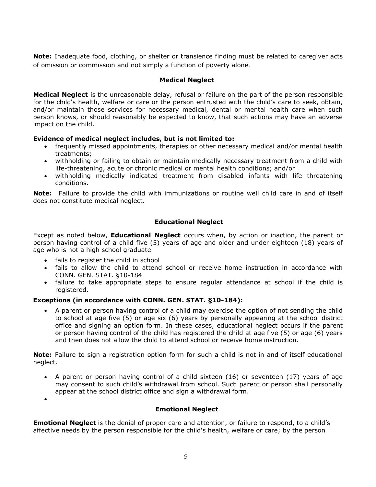**Note:** Inadequate food, clothing, or shelter or transience finding must be related to caregiver acts of omission or commission and not simply a function of poverty alone.

## **Medical Neglect**

 **Medical Neglect** is the unreasonable delay, refusal or failure on the part of the person responsible and/or maintain those services for necessary medical, dental or mental health care when such impact on the child. for the child's health, welfare or care or the person entrusted with the child's care to seek, obtain, person knows, or should reasonably be expected to know, that such actions may have an adverse

## **Evidence of medical neglect includes, but is not limited to:**

- • frequently missed appointments, therapies or other necessary medical and/or mental health treatments;
- life-threatening, acute or chronic medical or mental health conditions; and/or • withholding or failing to obtain or maintain medically necessary treatment from a child with
- • withholding medically indicated treatment from disabled infants with life threatening conditions.

 **Note:** Failure to provide the child with immunizations or routine well child care in and of itself does not constitute medical neglect.

## **Educational Neglect**

 Except as noted below, **Educational Neglect** occurs when, by action or inaction, the parent or person having control of a child five (5) years of age and older and under eighteen (18) years of age who is not a high school graduate

- fails to register the child in school
- • fails to allow the child to attend school or receive home instruction in accordance with CONN. GEN. STAT. §10-184
- • failure to take appropriate steps to ensure regular attendance at school if the child is registered.

## **Exceptions (in accordance with CONN. GEN. STAT. §10-184):**

 • A parent or person having control of a child may exercise the option of not sending the child or person having control of the child has registered the child at age five (5) or age (6) years and then does not allow the child to attend school or receive home instruction. to school at age five (5) or age six (6) years by personally appearing at the school district office and signing an option form. In these cases, educational neglect occurs if the parent

 **Note:** Failure to sign a registration option form for such a child is not in and of itself educational neglect.

 • A parent or person having control of a child sixteen (16) or seventeen (17) years of age appear at the school district office and sign a withdrawal form. may consent to such child's withdrawal from school. Such parent or person shall personally

•

## **Emotional Neglect**

 **Emotional Neglect** is the denial of proper care and attention, or failure to respond, to a child's affective needs by the person responsible for the child's health, welfare or care; by the person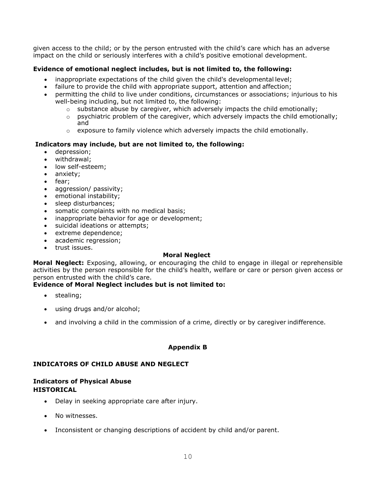given access to the child; or by the person entrusted with the child's care which has an adverse impact on the child or seriously interferes with a child's positive emotional development.

## **Evidence of emotional neglect includes, but is not limited to, the following:**

- inappropriate expectations of the child given the child's developmental level;
- failure to provide the child with appropriate support, attention and affection;
- • permitting the child to live under conditions, circumstances or associations; injurious to his well-being including, but not limited to, the following:
	- $\circ$  substance abuse by caregiver, which adversely impacts the child emotionally;
	- $\circ$  psychiatric problem of the caregiver, which adversely impacts the child emotionally; and
	- $\circ$  exposure to family violence which adversely impacts the child emotionally.

### **Indicators may include, but are not limited to, the following:**

- depression;
- withdrawal;
- low self-esteem;
- anxiety;
- fear;
- aggression/ passivity;
- emotional instability;
- sleep disturbances;
- somatic complaints with no medical basis;
- inappropriate behavior for age or development;
- suicidal ideations or attempts;
- extreme dependence;
- academic regression;
- trust issues.

#### **Moral Neglect**

 person entrusted with the child's care. **Moral Neglect:** Exposing, allowing, or encouraging the child to engage in illegal or reprehensible activities by the person responsible for the child's health, welfare or care or person given access or

## **Evidence of Moral Neglect includes but is not limited to:**

- stealing;
- using drugs and/or alcohol;
- and involving a child in the commission of a crime, directly or by caregiver indifference.

## **Appendix B**

## **INDICATORS OF CHILD ABUSE AND NEGLECT**

#### **Indicators of Physical Abuse HISTORICAL**

- Delay in seeking appropriate care after injury.
- No witnesses.
- Inconsistent or changing descriptions of accident by child and/or parent.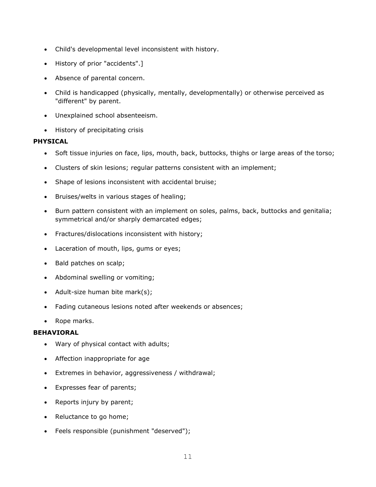- Child's developmental level inconsistent with history.
- History of prior "accidents".]
- Absence of parental concern.
- • Child is handicapped (physically, mentally, developmentally) or otherwise perceived as "different" by parent.
- Unexplained school absenteeism.
- History of precipitating crisis

## **PHYSICAL**

- Soft tissue injuries on face, lips, mouth, back, buttocks, thighs or large areas of the torso;
- Clusters of skin lesions; regular patterns consistent with an implement;
- Shape of lesions inconsistent with accidental bruise;
- Bruises/welts in various stages of healing;
- • Burn pattern consistent with an implement on soles, palms, back, buttocks and genitalia; symmetrical and/or sharply demarcated edges;
- Fractures/dislocations inconsistent with history;
- Laceration of mouth, lips, gums or eyes;
- Bald patches on scalp;
- Abdominal swelling or vomiting;
- Adult-size human bite mark(s);
- Fading cutaneous lesions noted after weekends or absences;
- Rope marks.

- Wary of physical contact with adults;
- Affection inappropriate for age
- Extremes in behavior, aggressiveness / withdrawal;
- Expresses fear of parents;
- Reports injury by parent;
- Reluctance to go home;
- Feels responsible (punishment "deserved");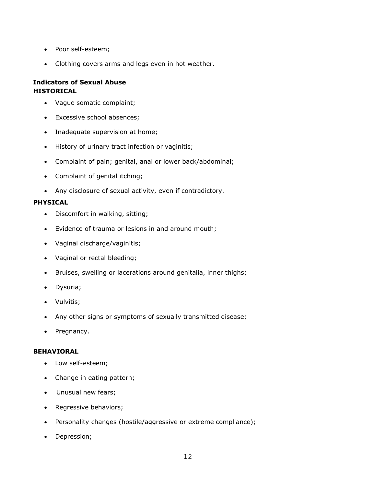- Poor self-esteem;
- Clothing covers arms and legs even in hot weather.

#### **Indicators of Sexual Abuse HISTORICAL**

- Vague somatic complaint;
- Excessive school absences;
- Inadequate supervision at home;
- History of urinary tract infection or vaginitis;
- Complaint of pain; genital, anal or lower back/abdominal;
- Complaint of genital itching;
- Any disclosure of sexual activity, even if contradictory.

#### **PHYSICAL**

- Discomfort in walking, sitting;
- Evidence of trauma or lesions in and around mouth;
- Vaginal discharge/vaginitis;
- Vaginal or rectal bleeding;
- Bruises, swelling or lacerations around genitalia, inner thighs;
- Dysuria;
- Vulvitis;
- Any other signs or symptoms of sexually transmitted disease;
- Pregnancy.

- Low self-esteem;
- Change in eating pattern;
- Unusual new fears;
- Regressive behaviors;
- Personality changes (hostile/aggressive or extreme compliance);
- Depression;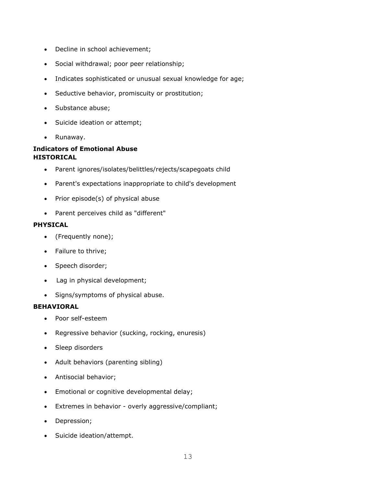- Decline in school achievement;
- Social withdrawal; poor peer relationship;
- Indicates sophisticated or unusual sexual knowledge for age;
- Seductive behavior, promiscuity or prostitution;
- Substance abuse;
- Suicide ideation or attempt;
- Runaway.

## **Indicators of Emotional Abuse HISTORICAL**

- Parent ignores/isolates/belittles/rejects/scapegoats child
- Parent's expectations inappropriate to child's development
- Prior episode(s) of physical abuse
- Parent perceives child as "different"

#### **PHYSICAL**

- (Frequently none);
- Failure to thrive;
- Speech disorder;
- Lag in physical development;
- Signs/symptoms of physical abuse.

- Poor self-esteem
- Regressive behavior (sucking, rocking, enuresis)
- Sleep disorders
- Adult behaviors (parenting sibling)
- Antisocial behavior;
- Emotional or cognitive developmental delay;
- Extremes in behavior overly aggressive/compliant;
- Depression;
- Suicide ideation/attempt.